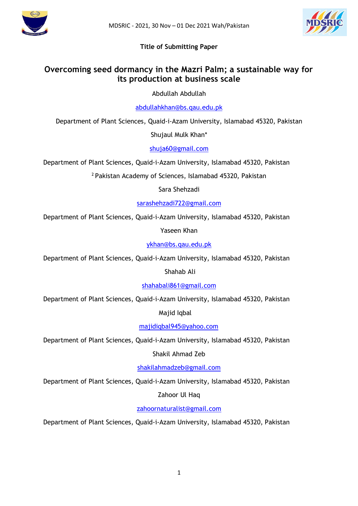



# **Title of Submitting Paper**

# **Overcoming seed dormancy in the Mazri Palm; a sustainable way for its production at business scale**

Abdullah Abdullah

[abdullahkhan@bs.qau.edu.pk](mailto:abdullahkhan@bs.qau.edu.pk)

Department of Plant Sciences, Quaid-i-Azam University, Islamabad 45320, Pakistan

Shujaul Mulk Khan\*

[shuja60@gmail.com](mailto:shuja60@gmail.com)

Department of Plant Sciences, Quaid-i-Azam University, Islamabad 45320, Pakistan

<sup>2</sup>Pakistan Academy of Sciences, Islamabad 45320, Pakistan

Sara Shehzadi

[sarashehzadi722@gmail.com](mailto:sarashehzadi722@gmail.com)

Department of Plant Sciences, Quaid-i-Azam University, Islamabad 45320, Pakistan

Yaseen Khan

[ykhan@bs.qau.edu.pk](mailto:ykhan@bs.qau.edu.pk)

Department of Plant Sciences, Quaid-i-Azam University, Islamabad 45320, Pakistan

Shahab Ali

[shahabali861@gmail.com](mailto:shahabali861@gmail.com)

Department of Plant Sciences, Quaid-i-Azam University, Islamabad 45320, Pakistan

Majid Iqbal

[majidiqbal945@yahoo.com](mailto:majidiqbal945@yahoo.com)

Department of Plant Sciences, Quaid-i-Azam University, Islamabad 45320, Pakistan

Shakil Ahmad Zeb

[shakilahmadzeb@gmail.com](mailto:shakilahmadzeb@gmail.com)

Department of Plant Sciences, Quaid-i-Azam University, Islamabad 45320, Pakistan

Zahoor Ul Haq

[zahoornaturalist@gmail.com](mailto:zahoornaturalist@gmail.com)

Department of Plant Sciences, Quaid-i-Azam University, Islamabad 45320, Pakistan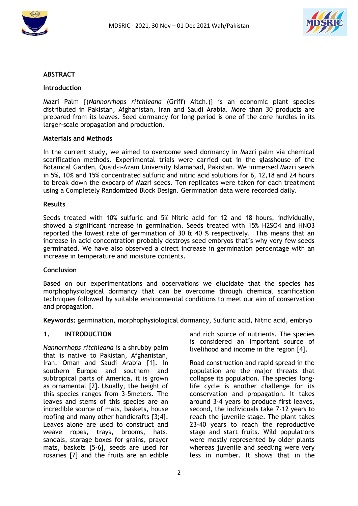



#### **ABSTRACT**

#### **Introduction**

Mazri Palm {(*Nannorrhops ritchieana* (Griff) Aitch.)} is an economic plant species distributed in Pakistan, Afghanistan, Iran and Saudi Arabia. More than 30 products are prepared from its leaves. Seed dormancy for long period is one of the core hurdles in its larger-scale propagation and production.

#### **Materials and Methods**

In the current study, we aimed to overcome seed dormancy in Mazri palm via chemical scarification methods. Experimental trials were carried out in the glasshouse of the Botanical Garden, Quaid-i-Azam University Islamabad, Pakistan. We immersed Mazri seeds in 5%, 10% and 15% concentrated sulfuric and nitric acid solutions for 6, 12,18 and 24 hours to break down the exocarp of Mazri seeds. Ten replicates were taken for each treatment using a Completely Randomized Block Design. Germination data were recorded daily.

#### **Results**

Seeds treated with 10% sulfuric and 5% Nitric acid for 12 and 18 hours, individually, showed a significant increase in germination. Seeds treated with 15% H2SO4 and HNO3 reported the lowest rate of germination of 30  $\&$  40 % respectively. This means that an increase in acid concentration probably destroys seed embryos that's why very few seeds germinated. We have also observed a direct increase in germination percentage with an increase in temperature and moisture contents.

#### **Conclusion**

Based on our experimentations and observations we elucidate that the species has morphophysiological dormancy that can be overcome through chemical scarification techniques followed by suitable environmental conditions to meet our aim of conservation and propagation.

**Keywords:** germination, morphophysiological dormancy, Sulfuric acid, Nitric acid, embryo

#### **1. INTRODUCTION**

*Nannorrhops ritchieana* is a shrubby palm that is native to Pakistan, Afghanistan, Iran, Oman and Saudi Arabia [1]. In southern Europe and southern and subtropical parts of America, it is grown as ornamental [2]. Usually, the height of this species ranges from 3-5meters. The leaves and stems of this species are an incredible source of mats, baskets, house roofing and many other handicrafts [3;4]. Leaves alone are used to construct and weave ropes, trays, brooms, hats, sandals, storage boxes for grains, prayer mats, baskets [5-6], seeds are used for rosaries [7] and the fruits are an edible and rich source of nutrients. The species is considered an important source of livelihood and income in the region [4].

Road construction and rapid spread in the population are the major threats that collapse its population. The species' longlife cycle is another challenge for its conservation and propagation. It takes around 3-4 years to produce first leaves, second, the individuals take 7-12 years to reach the juvenile stage. The plant takes 23-40 years to reach the reproductive stage and start fruits. Wild populations were mostly represented by older plants whereas juvenile and seedling were very less in number. It shows that in the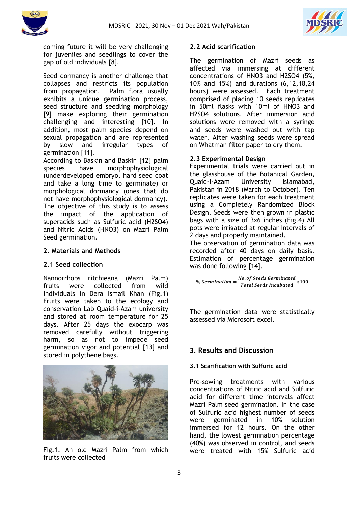



coming future it will be very challenging for juveniles and seedlings to cover the gap of old individuals [8].

Seed dormancy is another challenge that collapses and restricts its population from propagation. Palm flora usually exhibits a unique germination process, seed structure and seedling morphology [9] make exploring their germination challenging and interesting [10]. In addition, most palm species depend on sexual propagation and are represented by slow and irregular types of germination [11].

According to Baskin and Baskin [12] palm species have morphophysiological (underdeveloped embryo, hard seed coat and take a long time to germinate) or morphological dormancy (ones that do not have morphophysiological dormancy). The objective of this study is to assess the impact of the application of superacids such as Sulfuric acid (H2SO4) and Nitric Acids (HNO3) on Mazri Palm Seed germination.

#### **2. Materials and Methods**

## **2.1 Seed collection**

Nannorrhops ritchieana (Mazri Palm) fruits were collected from wild individuals in Dera Ismail Khan (Fig.1) Fruits were taken to the ecology and conservation Lab Quaid-i-Azam university and stored at room temperature for 25 days. After 25 days the exocarp was removed carefully without triggering harm, so as not to impede seed germination vigor and potential [13] and stored in polythene bags.



Fig.1. An old Mazri Palm from which fruits were collected

#### **2.2 Acid scarification**

The germination of Mazri seeds as affected via immersing at different concentrations of HNO3 and H2SO4 (5%, 10% and 15%) and durations (6,12,18,24 hours) were assessed. Each treatment comprised of placing 10 seeds replicates in 50ml flasks with 10ml of HNO3 and H2SO4 solutions. After immersion acid solutions were removed with a syringe and seeds were washed out with tap water. After washing seeds were spread on Whatman filter paper to dry them.

## **2.3 Experimental Design**

Experimental trials were carried out in the glasshouse of the Botanical Garden, Quaid-i-Azam University Islamabad, Pakistan in 2018 (March to October). Ten replicates were taken for each treatment using a Completely Randomized Block Design. Seeds were then grown in plastic bags with a size of 3x6 inches (Fig.4) All pots were irrigated at regular intervals of 2 days and properly maintained.

The observation of germination data was recorded after 40 days on daily basis. Estimation of percentage germination was done following [14].

$$
\% \, Germanian = \frac{No. \, of \, Seeds \, Germinated}{Total \, Seeds \, Incubated} \, x100
$$

The germination data were statistically assessed via Microsoft excel.

## **3. Results and Discussion**

#### **3.1 Scarification with Sulfuric acid**

Pre-sowing treatments with various concentrations of Nitric acid and Sulfuric acid for different time intervals affect Mazri Palm seed germination. In the case of Sulfuric acid highest number of seeds were germinated in 10% solution immersed for 12 hours. On the other hand, the lowest germination percentage (40%) was observed in control, and seeds were treated with 15% Sulfuric acid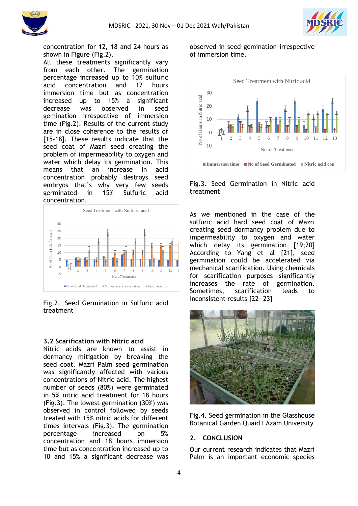



concentration for 12, 18 and 24 hours as shown in Figure (Fig.2).

All these treatments significantly vary from each other. The germination percentage increased up to 10% sulfuric acid concentration and 12 hours immersion time but as concentration increased up to 15% a significant decrease was observed in seed gemination irrespective of immersion time (Fig.2). Results of the current study are in close coherence to the results of [15-18]. These results indicate that the seed coat of Mazri seed creating the problem of impermeability to oxygen and water which delay its germination. This means that an increase in acid concentration probably destroys seed embryos that's why very few seeds germinated in 15% Sulfuric acid concentration.



#### Fig.2. Seed Germination in Sulfuric acid treatment

#### **3.2 Scarification with Nitric acid**

Nitric acids are known to assist in dormancy mitigation by breaking the seed coat. Mazri Palm seed germination was significantly affected with various concentrations of Nitric acid. The highest number of seeds (80%) were germinated in 5% nitric acid treatment for 18 hours (Fig.3). The lowest germination (30%) was observed in control followed by seeds treated with 15% nitric acids for different times intervals (Fig.3). The germination percentage increased on 5% concentration and 18 hours immersion time but as concentration increased up to 10 and 15% a significant decrease was

observed in seed gemination irrespective of immersion time.



#### Fig.3. Seed Germination in Nitric acid treatment

As we mentioned in the case of the sulfuric acid hard seed coat of Mazri creating seed dormancy problem due to impermeability to oxygen and water which delay its germination [19;20] According to Yang et al [21], seed germination could be accelerated via mechanical scarification. Using chemicals for scarification purposes significantly increases the rate of germination. Sometimes, scarification leads to inconsistent results [22- 23]



Fig.4. Seed germination in the Glasshouse Botanical Garden Quaid I Azam University

#### **2. CONCLUSION**

Our current research indicates that Mazri Palm is an important economic species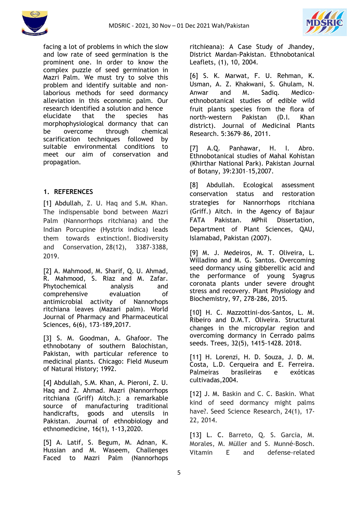



facing a lot of problems in which the slow and low rate of seed germination is the prominent one. In order to know the complex puzzle of seed germination in Mazri Palm. We must try to solve this problem and identify suitable and nonlaborious methods for seed dormancy alleviation in this economic palm. Our research identified a solution and hence elucidate that the species has morphophysiological dormancy that can be overcome through chemical scarification techniques followed by suitable environmental conditions to meet our aim of conservation and propagation.

# **1. REFERENCES**

[1] Abdullah, Z. U. Haq and S.M. Khan. The indispensable bond between Mazri Palm (Nannorrhops ritchiana) and the Indian Porcupine (Hystrix indica) leads them towards extinction!. Biodiversity and Conservation, 28(12), 3387-3388, 2019.

[2] A. Mahmood, M. Sharif, Q. U. Ahmad, R. Mahmood, S. Riaz and M. Zafar. Phytochemical analysis and comprehensive evaluation of antimicrobial activity of Nannorhops ritchiana leaves (Mazari palm). World Journal of Pharmacy and Pharmaceutical Sciences, 6(6), 173-189,2017.

[3] S. M. Goodman, A. Ghafoor. The ethnobotany of southern Balochistan, Pakistan, with particular reference to medicinal plants. Chicago: Field Museum of Natural History; 1992.

[4] Abdullah, S.M. Khan, A. Pieroni, Z. U. Haq and Z. Ahmad. Mazri (Nannorrhops ritchiana (Griff) Aitch.): a remarkable source of manufacturing traditional handicrafts, goods and utensils in Pakistan. Journal of ethnobiology and ethnomedicine, 16(1), 1-13,2020.

[5] A. Latif, S. Begum, M. Adnan, K. Hussian and M. Waseem, Challenges Faced to Mazri Palm (Nannorhops ritchieana): A Case Study of Jhandey, District Mardan-Pakistan. Ethnobotanical Leaflets, (1), 10, 2004.

[6] S. K. Marwat, F. U. Rehman, K. Usman, A. Z. Khakwani, S. Ghulam, N. Anwar and M. Sadiq. Medicoethnobotanical studies of edible wild fruit plants species from the flora of north-western Pakistan (D.I. Khan district). Journal of Medicinal Plants Research. 5:3679–86, 2011.

[7] A.Q. Panhawar, H. I. Abro. Ethnobotanical studies of Mahal Kohistan (Khirthar National Park). Pakistan Journal of Botany, 39:2301–15,2007.

[8] Abdullah. Ecological assessment conservation status and restoration strategies for Nannorrhops ritchiana (Griff.) Aitch. in the Agency of Bajaur FATA Pakistan. MPhil Dissertation, Department of Plant Sciences, QAU, Islamabad, Pakistan (2007).

[9] M. J. Medeiros, M. T. Oliveira, L. Willadino and M. G. Santos. Overcoming seed dormancy using gibberellic acid and the performance of young Syagrus coronata plants under severe drought stress and recovery. Plant Physiology and Biochemistry, 97, 278-286, 2015.

[10] H. C. Mazzottini-dos-Santos, L. M. Ribeiro and D.M.T. Oliveira. Structural changes in the micropylar region and overcoming dormancy in Cerrado palms seeds. Trees, 32(5), 1415-1428. 2018.

[11] H. Lorenzi, H. D. Souza, J. D. M. Costa, L.D. Cerqueira and E. Ferreira. Palmeiras brasileiras e exóticas cultivadas,2004.

[12] J. M. Baskin and C. C. Baskin. What kind of seed dormancy might palms have?. Seed Science Research, 24(1), 17- 22, 2014.

[13] L. C. Barreto, Q. S. Garcia, M. Morales, M. Müller and S. Munné-Bosch. Vitamin E and defense-related